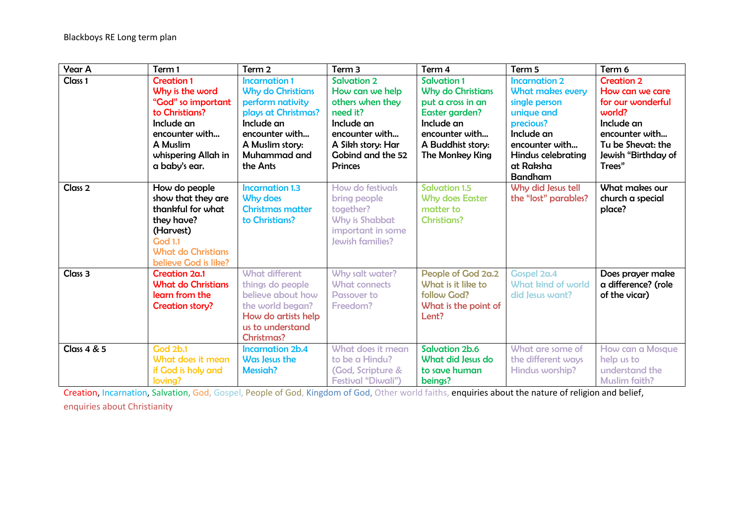| <b>Year A</b>          | Term 1                                                                                                                                                           | Term <sub>2</sub>                                                                                                                                                          | Term <sub>3</sub>                                                                                                                                                 | Term 4                                                                                                                                                        | Term 5                                                                                                                                                                                  | Term 6                                                                                                                                                    |
|------------------------|------------------------------------------------------------------------------------------------------------------------------------------------------------------|----------------------------------------------------------------------------------------------------------------------------------------------------------------------------|-------------------------------------------------------------------------------------------------------------------------------------------------------------------|---------------------------------------------------------------------------------------------------------------------------------------------------------------|-----------------------------------------------------------------------------------------------------------------------------------------------------------------------------------------|-----------------------------------------------------------------------------------------------------------------------------------------------------------|
| Class 1                | <b>Creation 1</b><br>Why is the word<br>"God" so important<br>to Christians?<br>Include an<br>encounter with<br>A Muslim<br>whispering Allah in<br>a baby's ear. | <b>Incarnation 1</b><br><b>Why do Christians</b><br>perform nativity<br>plays at Christmas?<br>Include an<br>encounter with<br>A Muslim story:<br>Muhammad and<br>the Ants | <b>Salvation 2</b><br>How can we help<br>others when they<br>need it?<br>Include an<br>encounter with<br>A Sikh story: Har<br>Gobind and the 52<br><b>Princes</b> | <b>Salvation 1</b><br><b>Why do Christians</b><br>put a cross in an<br>Easter garden?<br>Include an<br>encounter with<br>A Buddhist story:<br>The Monkey King | <b>Incarnation 2</b><br><b>What makes every</b><br>single person<br>unique and<br>precious?<br>Include an<br>encounter with<br><b>Hindus celebrating</b><br>at Raksha<br><b>Bandham</b> | <b>Creation 2</b><br>How can we care<br>for our wonderful<br>world?<br>Include an<br>encounter with<br>Tu be Shevat: the<br>Jewish "Birthday of<br>Trees" |
| Class <sub>2</sub>     | How do people<br>show that they are<br>thankful for what<br>they have?<br>(Harvest)<br><b>God 1.1</b><br><b>What do Christians</b><br>believe God is like?       | <b>Incarnation 1.3</b><br>Why does<br><b>Christmas matter</b><br>to Christians?                                                                                            | How do festivals<br>bring people<br>together?<br>Why is Shabbat<br>important in some<br>Jewish families?                                                          | <b>Salvation 1.5</b><br><b>Why does Easter</b><br>matter to<br><b>Christians?</b>                                                                             | Why did Jesus tell<br>the "lost" parables?                                                                                                                                              | What makes our<br>church a special<br>place?                                                                                                              |
| Class <sub>3</sub>     | Creation 2a.1<br><b>What do Christians</b><br>learn from the<br><b>Creation story?</b>                                                                           | <b>What different</b><br>things do people<br>believe about how<br>the world began?<br>How do artists help<br>us to understand<br><b>Christmas?</b>                         | Why salt water?<br><b>What connects</b><br><b>Passover to</b><br>Freedom?                                                                                         | People of God 2a.2<br>What is it like to<br>follow God?<br>What is the point of<br>Lent?                                                                      | Gospel 2a.4<br>What kind of world<br>did Jesus want?                                                                                                                                    | Does prayer make<br>a difference? (role<br>of the vicar)                                                                                                  |
| <b>Class 4 &amp; 5</b> | <b>God 2b.1</b><br>What does it mean<br>if God is holy and<br>loving?                                                                                            | <b>Incarnation 2b.4</b><br>Was Jesus the<br><b>Messiah?</b>                                                                                                                | What does it mean<br>to be a Hindu?<br><b>Cod, Scripture &amp;</b><br><b>Festival "Diwali")</b>                                                                   | <b>Salvation 2b.6</b><br>What did Jesus do<br>to save human<br>beings?                                                                                        | What are some of<br>the different ways<br>Hindus worship?                                                                                                                               | How can a Mosque<br>help us to<br>understand the<br><b>Muslim faith?</b>                                                                                  |

Creation, Incarnation, Salvation, God, Gospel, People of God, Kingdom of God, Other world faiths, enquiries about the nature of religion and belief, enquiries about Christianity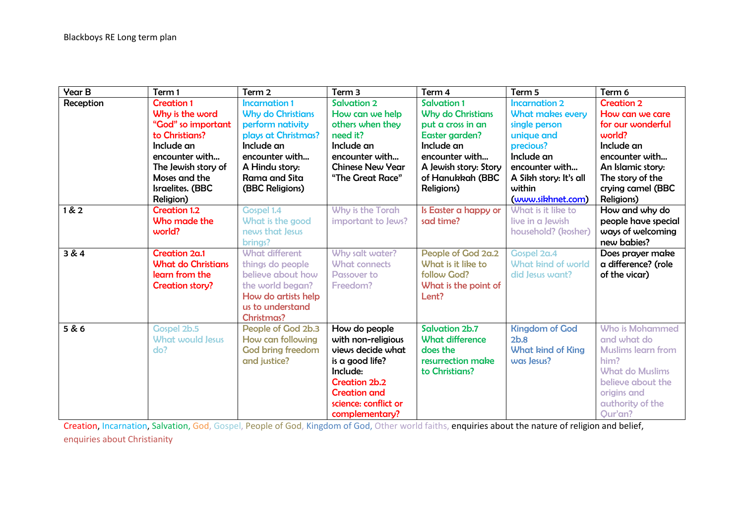| <b>Year B</b> | Term 1                                                                                                                                                                                | Term 2                                                                                                                                                                            | Term 3                                                                                                                                                                    | Term 4                                                                                                                                                                           | Term 5                                                                                                                                                                               | Term 6                                                                                                                                                                                 |
|---------------|---------------------------------------------------------------------------------------------------------------------------------------------------------------------------------------|-----------------------------------------------------------------------------------------------------------------------------------------------------------------------------------|---------------------------------------------------------------------------------------------------------------------------------------------------------------------------|----------------------------------------------------------------------------------------------------------------------------------------------------------------------------------|--------------------------------------------------------------------------------------------------------------------------------------------------------------------------------------|----------------------------------------------------------------------------------------------------------------------------------------------------------------------------------------|
| Reception     | <b>Creation 1</b><br>Why is the word<br>"God" so important<br>to Christians?<br>Include an<br>encounter with<br>The Jewish story of<br>Moses and the<br>Israelites. (BBC<br>Religion) | <b>Incarnation 1</b><br><b>Why do Christians</b><br>perform nativity<br>plays at Christmas?<br>Include an<br>encounter with<br>A Hindu story:<br>Rama and Sita<br>(BBC Religions) | <b>Salvation 2</b><br>How can we help<br>others when they<br>need it?<br>Include an<br>encounter with<br><b>Chinese New Year</b><br>"The Great Race"                      | <b>Salvation 1</b><br><b>Why do Christians</b><br>put a cross in an<br>Easter garden?<br>Include an<br>encounter with<br>A Jewish story: Story<br>of Hanukkah (BBC<br>Religions) | <b>Incarnation 2</b><br><b>What makes every</b><br>single person<br>unique and<br>precious?<br>Include an<br>encounter with<br>A Sikh story: It's all<br>within<br>(www.sikhnet.com) | <b>Creation 2</b><br>How can we care<br>for our wonderful<br>world?<br>Include an<br>encounter with<br>An Islamic story:<br>The story of the<br>crying camel (BBC<br><b>Religions)</b> |
| 1 & 2         | <b>Creation 1.2</b><br>Who made the<br>world?                                                                                                                                         | <b>Gospel 1.4</b><br>What is the good<br>news that Jesus<br>brings?                                                                                                               | Why is the Torah<br>important to Jews?                                                                                                                                    | Is Easter a happy or<br>sad time?                                                                                                                                                | What is it like to<br>live in a Jewish<br>household? (kosher)                                                                                                                        | How and why do<br>people have special<br>ways of welcoming<br>new babies?                                                                                                              |
| 3 & 4         | Creation 2a.1<br><b>What do Christians</b><br>learn from the<br>Creation story?                                                                                                       | <b>What different</b><br>things do people<br>believe about how<br>the world began?<br>How do artists help<br>us to understand<br><b>Christmas?</b>                                | Why salt water?<br><b>What connects</b><br><b>Passover to</b><br>Freedom?                                                                                                 | People of God 2a.2<br>What is it like to<br>follow God?<br>What is the point of<br>Lent?                                                                                         | Gospel 2a.4<br>What kind of world<br>did Jesus want?                                                                                                                                 | Does prayer make<br>a difference? (role<br>of the vicar)                                                                                                                               |
| 5 & 6         | Gospel 2b.5<br><b>What would Jesus</b><br>do?                                                                                                                                         | People of God 2b.3<br>How can following<br><b>God bring freedom</b><br>and justice?                                                                                               | How do people<br>with non-religious<br>views decide what<br>is a good life?<br>Include:<br>Creation 2b.2<br><b>Creation and</b><br>science: conflict or<br>complementary? | Salvation 2b.7<br><b>What difference</b><br>does the<br>resurrection make<br>to Christians?                                                                                      | <b>Kingdom of God</b><br>2b.8<br><b>What kind of King</b><br>was Jesus?                                                                                                              | Who is Mohammed<br>and what do<br><b>Muslims learn from</b><br>him?<br><b>What do Muslims</b><br>believe about the<br>origins and<br>authority of the<br>Qur'an?                       |

Creation, Incarnation, Salvation, God, Gospel, People of God, Kingdom of God, Other world faiths, enquiries about the nature of religion and belief, enquiries about Christianity